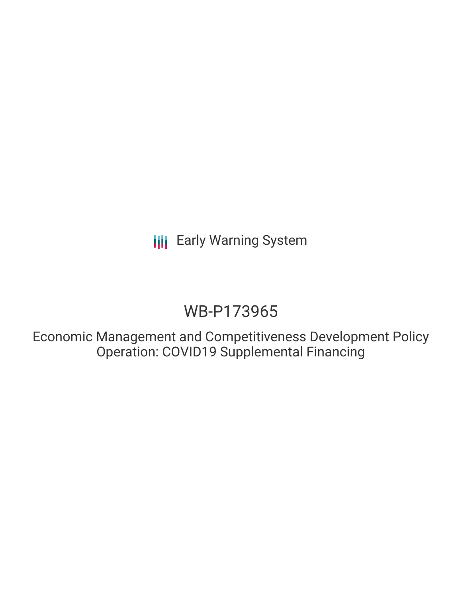**III** Early Warning System

# WB-P173965

Economic Management and Competitiveness Development Policy Operation: COVID19 Supplemental Financing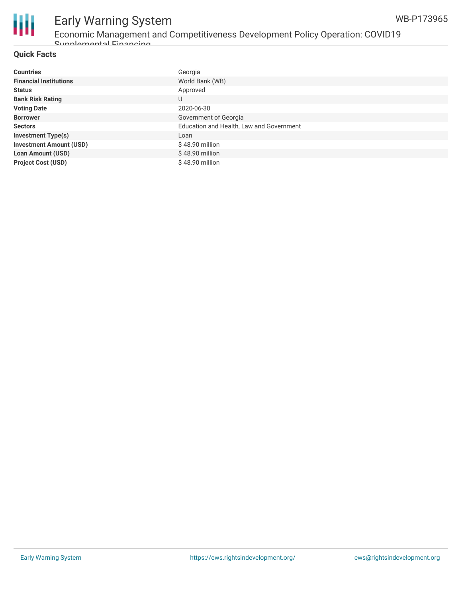

# Early Warning System Economic Management and Competitiveness Development Policy Operation: COVID19

Supplemental Financing

### **Quick Facts**

| <b>Countries</b>               | Georgia                                  |
|--------------------------------|------------------------------------------|
| <b>Financial Institutions</b>  | World Bank (WB)                          |
| <b>Status</b>                  | Approved                                 |
| <b>Bank Risk Rating</b>        | U                                        |
| <b>Voting Date</b>             | 2020-06-30                               |
| <b>Borrower</b>                | Government of Georgia                    |
| <b>Sectors</b>                 | Education and Health, Law and Government |
| <b>Investment Type(s)</b>      | Loan                                     |
| <b>Investment Amount (USD)</b> | $$48.90$ million                         |
| <b>Loan Amount (USD)</b>       | $$48.90$ million                         |
| <b>Project Cost (USD)</b>      | $$48.90$ million                         |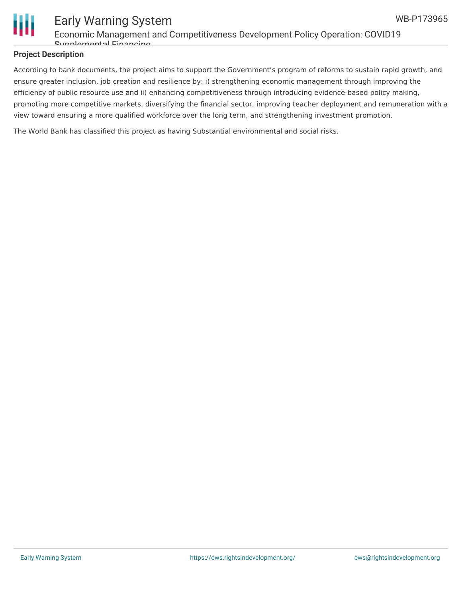

### Early Warning System Economic Management and Competitiveness Development Policy Operation: COVID19 Supplemental Financing

#### **Project Description**

According to bank documents, the project aims to support the Government's program of reforms to sustain rapid growth, and ensure greater inclusion, job creation and resilience by: i) strengthening economic management through improving the efficiency of public resource use and ii) enhancing competitiveness through introducing evidence-based policy making, promoting more competitive markets, diversifying the financial sector, improving teacher deployment and remuneration with a view toward ensuring a more qualified workforce over the long term, and strengthening investment promotion.

The World Bank has classified this project as having Substantial environmental and social risks.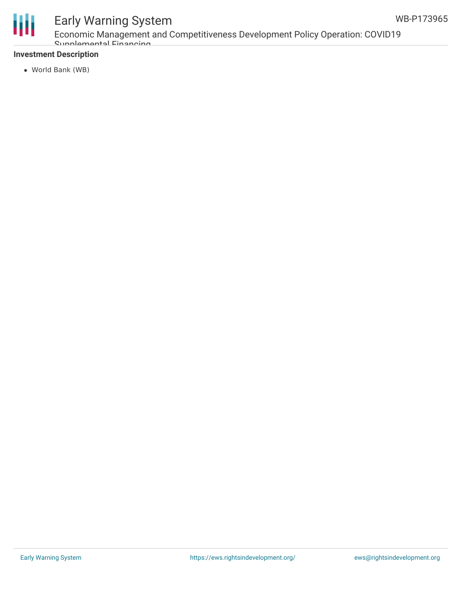

# Early Warning System

Economic Management and Competitiveness Development Policy Operation: COVID19 Supplemental Financing

### **Investment Description**

World Bank (WB)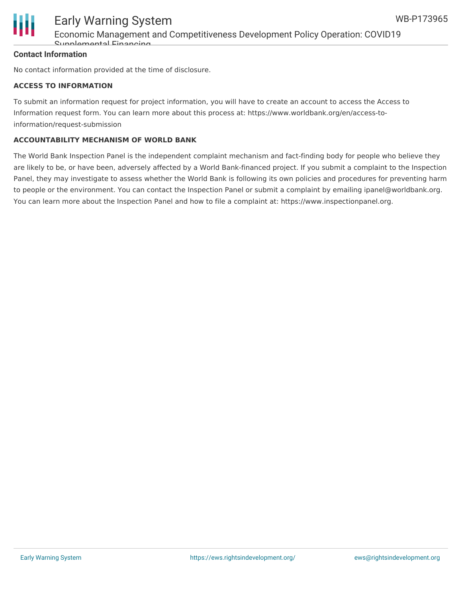

## Early Warning System Economic Management and Competitiveness Development Policy Operation: COVID19 Supplemental Financing

#### **Contact Information**

No contact information provided at the time of disclosure.

#### **ACCESS TO INFORMATION**

To submit an information request for project information, you will have to create an account to access the Access to Information request form. You can learn more about this process at: https://www.worldbank.org/en/access-toinformation/request-submission

#### **ACCOUNTABILITY MECHANISM OF WORLD BANK**

The World Bank Inspection Panel is the independent complaint mechanism and fact-finding body for people who believe they are likely to be, or have been, adversely affected by a World Bank-financed project. If you submit a complaint to the Inspection Panel, they may investigate to assess whether the World Bank is following its own policies and procedures for preventing harm to people or the environment. You can contact the Inspection Panel or submit a complaint by emailing ipanel@worldbank.org. You can learn more about the Inspection Panel and how to file a complaint at: https://www.inspectionpanel.org.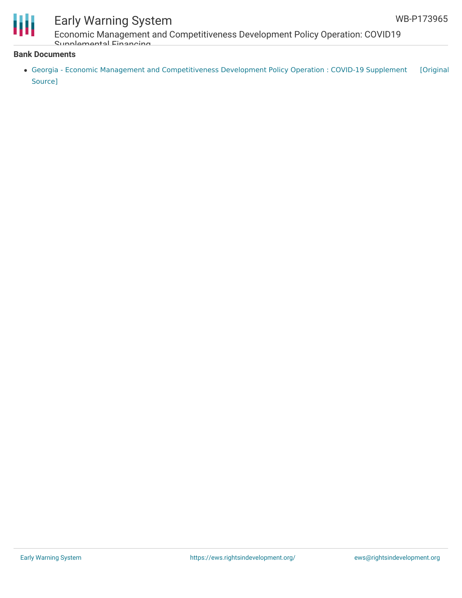

# Early Warning System

Economic Management and Competitiveness Development Policy Operation: COVID19 Supplemental Financing

#### **Bank Documents**

• Georgia - Economic Management and [Competitiveness](https://ewsdata.rightsindevelopment.org/files/documents/65/WB-P173965.pdf) Development Policy Operation : COVID-19 Supplement [Original Source]